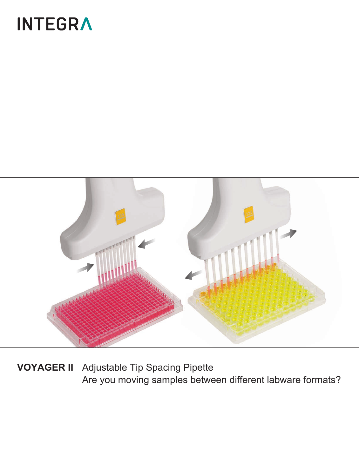# **INTEGRA**



**VOYAGER II** Adjustable Tip Spacing Pipette Are you moving samples between different labware formats?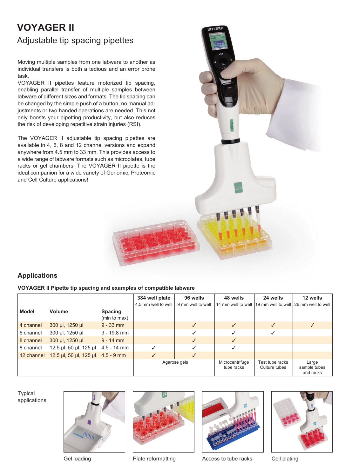## **VOYAGER II**  Adjustable tip spacing pipettes

Moving multiple samples from one labware to another as individual transfers is both a tedious and an error prone task.

VOYAGER II pipettes feature motorized tip spacing, enabling parallel transfer of multiple samples between labware of different sizes and formats. The tip spacing can be changed by the simple push of a button, no manual adjustments or two handed operations are needed. This not only boosts your pipetting productivity, but also reduces the risk of developing repetitive strain injuries (RSI).

The VOYAGER II adjustable tip spacing pipettes are available in 4, 6, 8 and 12 channel versions and expand anywhere from 4.5 mm to 33 mm. This provides access to a wide range of labware formats such as microplates, tube racks or gel chambers. The VOYAGER II pipette is the ideal companion for a wide variety of Genomic, Proteomic and Cell Culture applications!



### **Applications**

**VOYAGER II Pipette tip spacing and examples of compatible labware**

|              |                                              |                                | 384 well plate      | 96 wells          | 48 wells                      | 24 wells                         | 12 wells                                                 |
|--------------|----------------------------------------------|--------------------------------|---------------------|-------------------|-------------------------------|----------------------------------|----------------------------------------------------------|
| <b>Model</b> | Volume                                       | <b>Spacing</b><br>(min to max) | 4.5 mm well to well | 9 mm well to well |                               |                                  | 14 mm well to well 19 mm well to well 26 mm well to well |
| 4 channel    | 300 µl, 1250 µl                              | $9 - 33$ mm                    |                     | $\checkmark$      | $\checkmark$                  | ✓                                | $\checkmark$                                             |
| 6 channel    | 300 µl, 1250 µl                              | $9 - 19.8$ mm                  |                     |                   |                               |                                  |                                                          |
| 8 channel    | 300 µl, 1250 µl                              | $9 - 14$ mm                    |                     | $\sqrt{}$         | $\checkmark$                  |                                  |                                                          |
| 8 channel    | 12.5 µl, 50 µl, 125 µl                       | $4.5 - 14$ mm                  |                     | $\checkmark$      |                               |                                  |                                                          |
|              | 12 channel 12.5 µl, 50 µl, 125 µl 4.5 - 9 mm |                                | $\checkmark$        | $\checkmark$      |                               |                                  |                                                          |
|              |                                              |                                |                     | Agarose gels      | Microcentrifuge<br>tube racks | Test tube racks<br>Culture tubes | Large<br>sample tubes<br>and racks                       |

**Typical** applications:







Gel loading **Plate reformatting** Access to tube racks Cell plating

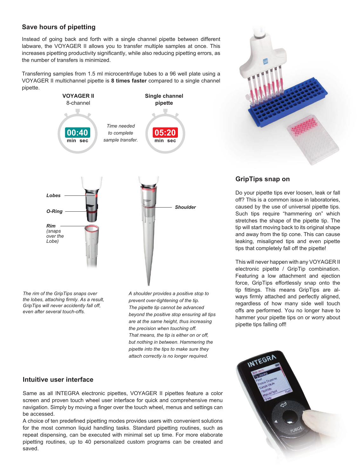#### **Save hours of pipetting**

Instead of going back and forth with a single channel pipette between different labware, the VOYAGER II allows you to transfer multiple samples at once. This increases pipetting productivity significantly, while also reducing pipetting errors, as the number of transfers is minimized.

Transferring samples from 1.5 ml microcentrifuge tubes to a 96 well plate using a VOYAGER II multichannel pipette is **8 times faster** compared to a single channel pipette.



*The rim of the GripTips snaps over the lobes, attaching firmly. As a result, GripTips will never accidently fall off, even after several touch-offs.*

*A shoulder provides a positive stop to prevent over-tightening of the tip. The pipette tip cannot be advanced beyond the positive stop ensuring all tips are at the same height, thus increasing the precision when touching off. That means, the tip is either on or off, but nothing in between. Hammering the pipette into the tips to make sure they attach correctly is no longer required.*

#### **Intuitive user interface**

Same as all INTEGRA electronic pipettes, VOYAGER II pipettes feature a color screen and proven touch wheel user interface for quick and comprehensive menu navigation. Simply by moving a finger over the touch wheel, menus and settings can be accessed.

A choice of ten predefined pipetting modes provides users with convenient solutions for the most common liquid handling tasks. Standard pipetting routines, such as repeat dispensing, can be executed with minimal set up time. For more elaborate pipetting routines, up to 40 personalized custom programs can be created and saved.



#### **GripTips snap on**

Do your pipette tips ever loosen, leak or fall off? This is a common issue in laboratories, caused by the use of universal pipette tips. Such tips require "hammering on" which stretches the shape of the pipette tip. The tip will start moving back to its original shape and away from the tip cone. This can cause leaking, misaligned tips and even pipette tips that completely fall off the pipette!

This will never happen with any VOYAGER II electronic pipette / GripTip combination. Featuring a low attachment and ejection force, GripTips effortlessly snap onto the tip fittings. This means GripTips are always firmly attached and perfectly aligned, regardless of how many side well touch offs are performed. You no longer have to hammer your pipette tips on or worry about pipette tips falling off!